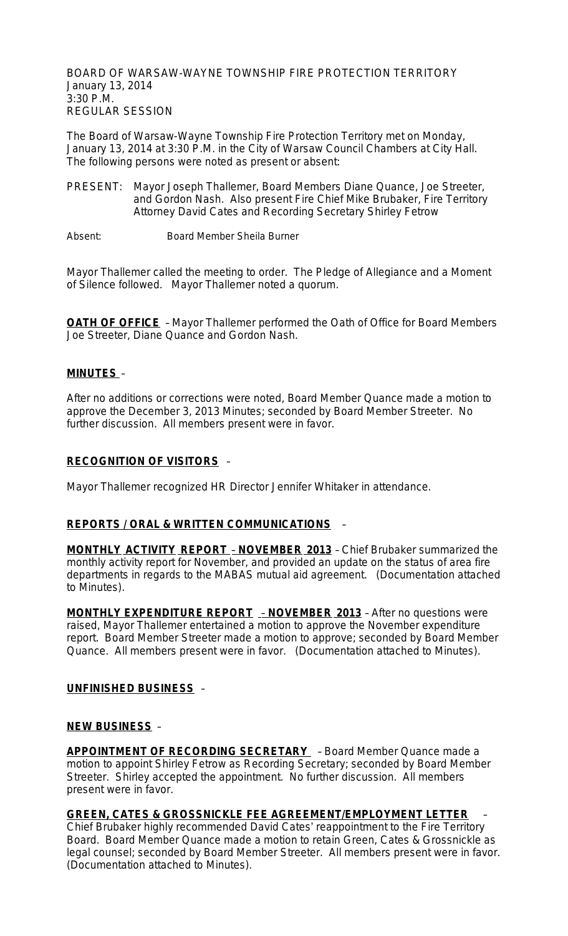BOARD OF WARSAW-WAYNE TOWNSHIP FIRE PROTECTION TERRITORY January 13, 2014 3:30 P.M. REGULAR SESSION

The Board of Warsaw-Wayne Township Fire Protection Territory met on Monday, January 13, 2014 at 3:30 P.M. in the City of Warsaw Council Chambers at City Hall. The following persons were noted as present or absent:

- PRESENT: Mayor Joseph Thallemer, Board Members Diane Quance, Joe Streeter, and Gordon Nash. Also present Fire Chief Mike Brubaker, Fire Territory Attorney David Cates and Recording Secretary Shirley Fetrow
- Absent: Board Member Sheila Burner

Mayor Thallemer called the meeting to order. The Pledge of Allegiance and a Moment of Silence followed. Mayor Thallemer noted a quorum.

**OATH OF OFFICE** - Mayor Thallemer performed the Oath of Office for Board Members Joe Streeter, Diane Quance and Gordon Nash.

### **MINUTES** –

After no additions or corrections were noted, Board Member Quance made a motion to approve the December 3, 2013 Minutes; seconded by Board Member Streeter. No further discussion. All members present were in favor.

#### **RECOGNITION OF VISITORS** –

Mayor Thallemer recognized HR Director Jennifer Whitaker in attendance.

### **REPORTS / ORAL & WRITTEN COMMUNICATIONS** –

**MONTHLY ACTIVITY REPORT** – **NOVEMBER 2013** – Chief Brubaker summarized the monthly activity report for November, and provided an update on the status of area fire departments in regards to the MABAS mutual aid agreement. (Documentation attached to Minutes).

**MONTHLY EXPENDITURE REPORT** – **NOVEMBER 2013** – After no questions were raised, Mayor Thallemer entertained a motion to approve the November expenditure report. Board Member Streeter made a motion to approve; seconded by Board Member Quance. All members present were in favor. (Documentation attached to Minutes).

#### **UNFINISHED BUSINESS** –

#### **NEW BUSINESS** –

**APPOINTMENT OF RECORDING SECRETARY** – Board Member Quance made a motion to appoint Shirley Fetrow as Recording Secretary; seconded by Board Member Streeter. Shirley accepted the appointment. No further discussion. All members present were in favor.

### **GREEN, CATES & GROSSNICKLE FEE AGREEMENT/EMPLOYMENT LETTER** –

Chief Brubaker highly recommended David Cates' reappointment to the Fire Territory Board. Board Member Quance made a motion to retain Green, Cates & Grossnickle as legal counsel; seconded by Board Member Streeter. All members present were in favor. (Documentation attached to Minutes).